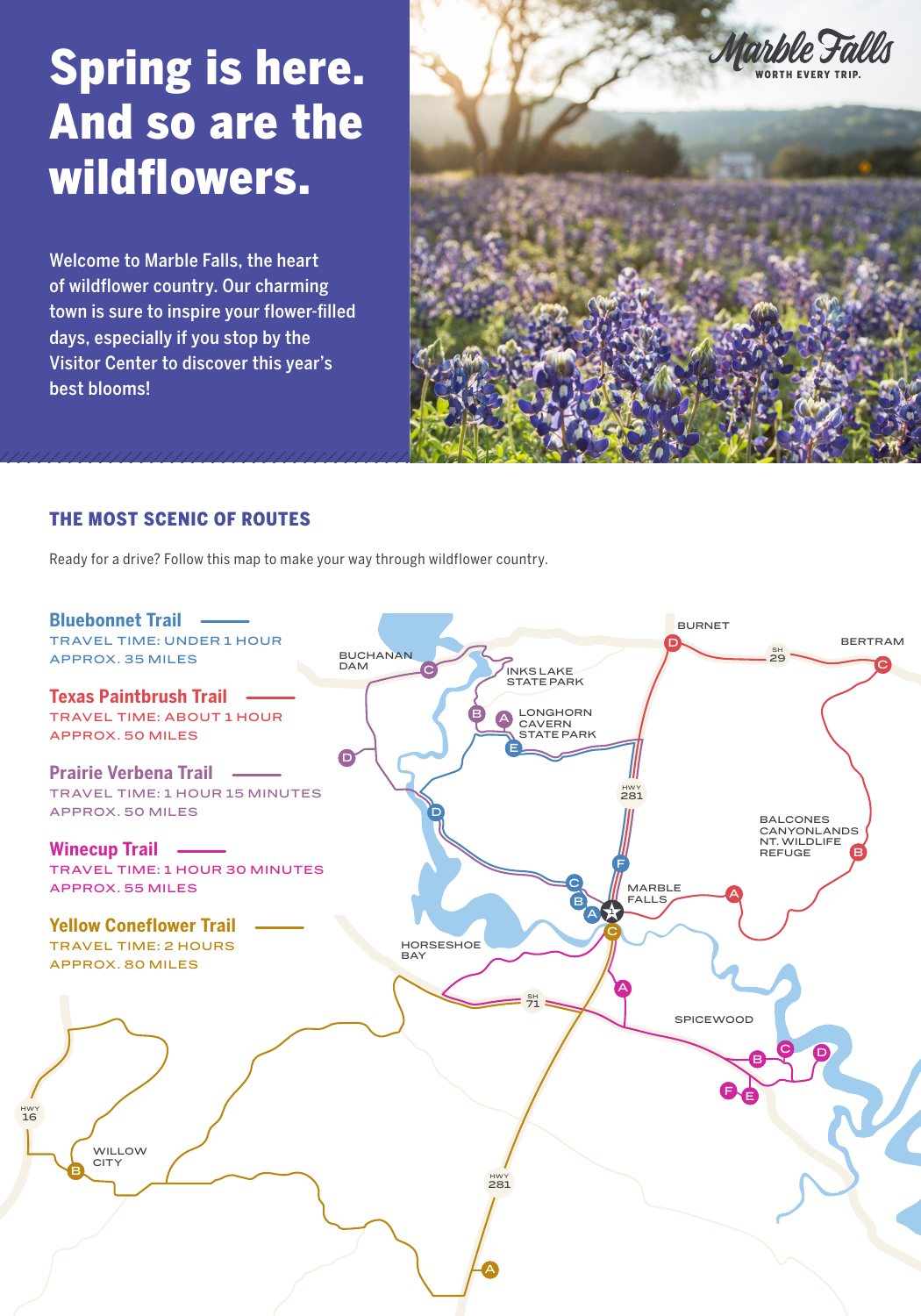# Spring is here. And so are the wildflowers.

Welcome to Marble Falls, the heart of wildflower country. Our charming town is sure to inspire your flower-filled days, especially if you stop by the Visitor Center to discover this year's best blooms!



### THE MOST SCENIC OF ROUTES

Ready for a drive? Follow this map to make your way through wildflower country.